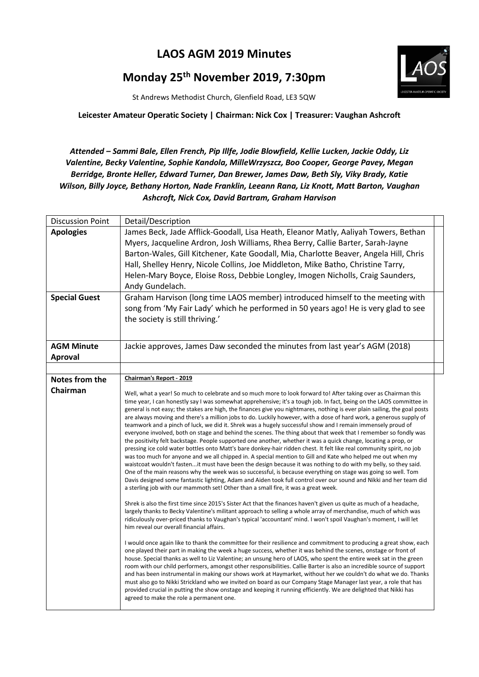## **LAOS AGM 2019 Minutes**

## **Monday 25th November 2019, 7:30pm**



St Andrews Methodist Church, Glenfield Road, LE3 5QW

## **Leicester Amateur Operatic Society | Chairman: Nick Cox | Treasurer: Vaughan Ashcroft**

## *Attended – Sammi Bale, Ellen French, Pip Illfe, Jodie Blowfield, Kellie Lucken, Jackie Oddy, Liz Valentine, Becky Valentine, Sophie Kandola, MilleWrzyszcz, Boo Cooper, George Pavey, Megan Berridge, Bronte Heller, Edward Turner, Dan Brewer, James Daw, Beth Sly, Viky Brady, Katie Wilson, Billy Joyce, Bethany Horton, Nade Franklin, Leeann Rana, Liz Knott, Matt Barton, Vaughan Ashcroft, Nick Cox, David Bartram, Graham Harvison*

| <b>Discussion Point</b>                  | Detail/Description                                                                                                                                                                                                                                                                                                                                                                                                                                                                                                                                                                                                                                                                                                                                                                                                                                                                                                                                                                                                                                                                                                                                                                                                                                                                                                                                                                                                                                                                                                                       |  |
|------------------------------------------|------------------------------------------------------------------------------------------------------------------------------------------------------------------------------------------------------------------------------------------------------------------------------------------------------------------------------------------------------------------------------------------------------------------------------------------------------------------------------------------------------------------------------------------------------------------------------------------------------------------------------------------------------------------------------------------------------------------------------------------------------------------------------------------------------------------------------------------------------------------------------------------------------------------------------------------------------------------------------------------------------------------------------------------------------------------------------------------------------------------------------------------------------------------------------------------------------------------------------------------------------------------------------------------------------------------------------------------------------------------------------------------------------------------------------------------------------------------------------------------------------------------------------------------|--|
| <b>Apologies</b><br><b>Special Guest</b> | James Beck, Jade Afflick-Goodall, Lisa Heath, Eleanor Matly, Aaliyah Towers, Bethan<br>Myers, Jacqueline Ardron, Josh Williams, Rhea Berry, Callie Barter, Sarah-Jayne<br>Barton-Wales, Gill Kitchener, Kate Goodall, Mia, Charlotte Beaver, Angela Hill, Chris<br>Hall, Shelley Henry, Nicole Collins, Joe Middleton, Mike Batho, Christine Tarry,<br>Helen-Mary Boyce, Eloise Ross, Debbie Longley, Imogen Nicholls, Craig Saunders,<br>Andy Gundelach.<br>Graham Harvison (long time LAOS member) introduced himself to the meeting with                                                                                                                                                                                                                                                                                                                                                                                                                                                                                                                                                                                                                                                                                                                                                                                                                                                                                                                                                                                              |  |
|                                          | song from 'My Fair Lady' which he performed in 50 years ago! He is very glad to see<br>the society is still thriving.'                                                                                                                                                                                                                                                                                                                                                                                                                                                                                                                                                                                                                                                                                                                                                                                                                                                                                                                                                                                                                                                                                                                                                                                                                                                                                                                                                                                                                   |  |
| <b>AGM Minute</b>                        | Jackie approves, James Daw seconded the minutes from last year's AGM (2018)                                                                                                                                                                                                                                                                                                                                                                                                                                                                                                                                                                                                                                                                                                                                                                                                                                                                                                                                                                                                                                                                                                                                                                                                                                                                                                                                                                                                                                                              |  |
| <b>Aproval</b>                           |                                                                                                                                                                                                                                                                                                                                                                                                                                                                                                                                                                                                                                                                                                                                                                                                                                                                                                                                                                                                                                                                                                                                                                                                                                                                                                                                                                                                                                                                                                                                          |  |
|                                          |                                                                                                                                                                                                                                                                                                                                                                                                                                                                                                                                                                                                                                                                                                                                                                                                                                                                                                                                                                                                                                                                                                                                                                                                                                                                                                                                                                                                                                                                                                                                          |  |
| Notes from the                           | Chairman's Report - 2019                                                                                                                                                                                                                                                                                                                                                                                                                                                                                                                                                                                                                                                                                                                                                                                                                                                                                                                                                                                                                                                                                                                                                                                                                                                                                                                                                                                                                                                                                                                 |  |
| Chairman                                 | Well, what a year! So much to celebrate and so much more to look forward to! After taking over as Chairman this<br>time year, I can honestly say I was somewhat apprehensive; it's a tough job. In fact, being on the LAOS committee in<br>general is not easy; the stakes are high, the finances give you nightmares, nothing is ever plain sailing, the goal posts<br>are always moving and there's a million jobs to do. Luckily however, with a dose of hard work, a generous supply of<br>teamwork and a pinch of luck, we did it. Shrek was a hugely successful show and I remain immensely proud of<br>everyone involved, both on stage and behind the scenes. The thing about that week that I remember so fondly was<br>the positivity felt backstage. People supported one another, whether it was a quick change, locating a prop, or<br>pressing ice cold water bottles onto Matt's bare donkey-hair ridden chest. It felt like real community spirit, no job<br>was too much for anyone and we all chipped in. A special mention to Gill and Kate who helped me out when my<br>waistcoat wouldn't fastenit must have been the design because it was nothing to do with my belly, so they said.<br>One of the main reasons why the week was so successful, is because everything on stage was going so well. Tom<br>Davis designed some fantastic lighting, Adam and Aiden took full control over our sound and Nikki and her team did<br>a sterling job with our mammoth set! Other than a small fire, it was a great week. |  |
|                                          | Shrek is also the first time since 2015's Sister Act that the finances haven't given us quite as much of a headache,<br>largely thanks to Becky Valentine's militant approach to selling a whole array of merchandise, much of which was<br>ridiculously over-priced thanks to Vaughan's typical 'accountant' mind. I won't spoil Vaughan's moment, I will let<br>him reveal our overall financial affairs.<br>I would once again like to thank the committee for their resilience and commitment to producing a great show, each<br>one played their part in making the week a huge success, whether it was behind the scenes, onstage or front of<br>house. Special thanks as well to Liz Valentine; an unsung hero of LAOS, who spent the entire week sat in the green<br>room with our child performers, amongst other responsibilities. Callie Barter is also an incredible source of support<br>and has been instrumental in making our shows work at Haymarket, without her we couldn't do what we do. Thanks<br>must also go to Nikki Strickland who we invited on board as our Company Stage Manager last year, a role that has<br>provided crucial in putting the show onstage and keeping it running efficiently. We are delighted that Nikki has                                                                                                                                                                                                                                                                             |  |
|                                          | agreed to make the role a permanent one.                                                                                                                                                                                                                                                                                                                                                                                                                                                                                                                                                                                                                                                                                                                                                                                                                                                                                                                                                                                                                                                                                                                                                                                                                                                                                                                                                                                                                                                                                                 |  |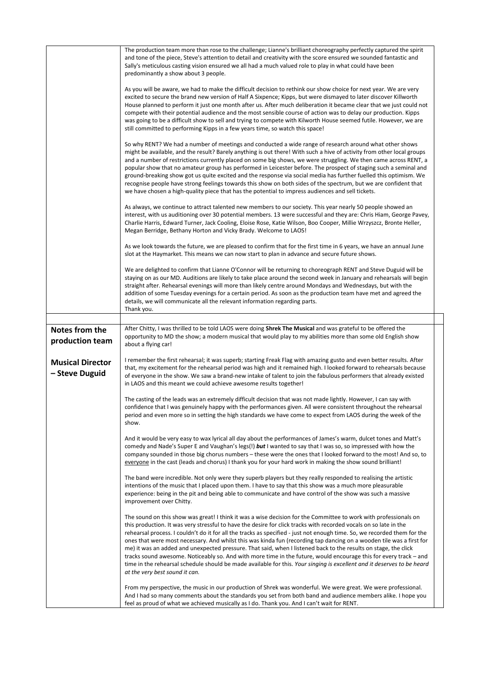|                                           | The production team more than rose to the challenge; Lianne's brilliant choreography perfectly captured the spirit<br>and tone of the piece, Steve's attention to detail and creativity with the score ensured we sounded fantastic and<br>Sally's meticulous casting vision ensured we all had a much valued role to play in what could have been<br>predominantly a show about 3 people.<br>As you will be aware, we had to make the difficult decision to rethink our show choice for next year. We are very<br>excited to secure the brand new version of Half A Sixpence; Kipps, but were dismayed to later discover Killworth<br>House planned to perform it just one month after us. After much deliberation it became clear that we just could not<br>compete with their potential audience and the most sensible course of action was to delay our production. Kipps<br>was going to be a difficult show to sell and trying to compete with Kilworth House seemed futile. However, we are<br>still committed to performing Kipps in a few years time, so watch this space!<br>So why RENT? We had a number of meetings and conducted a wide range of research around what other shows<br>might be available, and the result? Barely anything is out there! With such a hive of activity from other local groups<br>and a number of restrictions currently placed on some big shows, we were struggling. We then came across RENT, a<br>popular show that no amateur group has performed in Leicester before. The prospect of staging such a seminal and<br>ground-breaking show got us quite excited and the response via social media has further fuelled this optimism. We<br>recognise people have strong feelings towards this show on both sides of the spectrum, but we are confident that<br>we have chosen a high-quality piece that has the potential to impress audiences and sell tickets.<br>As always, we continue to attract talented new members to our society. This year nearly 50 people showed an<br>interest, with us auditioning over 30 potential members. 13 were successful and they are: Chris Hiam, George Pavey,<br>Charlie Harris, Edward Turner, Jack Cooling, Eloise Rose, Katie Wilson, Boo Cooper, Millie Wrzyszcz, Bronte Heller,<br>Megan Berridge, Bethany Horton and Vicky Brady. Welcome to LAOS!<br>As we look towards the future, we are pleased to confirm that for the first time in 6 years, we have an annual June<br>slot at the Haymarket. This means we can now start to plan in advance and secure future shows. |  |
|-------------------------------------------|--------------------------------------------------------------------------------------------------------------------------------------------------------------------------------------------------------------------------------------------------------------------------------------------------------------------------------------------------------------------------------------------------------------------------------------------------------------------------------------------------------------------------------------------------------------------------------------------------------------------------------------------------------------------------------------------------------------------------------------------------------------------------------------------------------------------------------------------------------------------------------------------------------------------------------------------------------------------------------------------------------------------------------------------------------------------------------------------------------------------------------------------------------------------------------------------------------------------------------------------------------------------------------------------------------------------------------------------------------------------------------------------------------------------------------------------------------------------------------------------------------------------------------------------------------------------------------------------------------------------------------------------------------------------------------------------------------------------------------------------------------------------------------------------------------------------------------------------------------------------------------------------------------------------------------------------------------------------------------------------------------------------------------------------------------------------------------------------------------------------------------------------------------------------------------------------------------------------------------------------------------------------------------------------------------------------------------------------------------------------------------------------------------------------------------------------------------------------------------------------------------------------------------------------------------------------------|--|
|                                           | We are delighted to confirm that Lianne O'Connor will be returning to choreograph RENT and Steve Duguid will be<br>staying on as our MD. Auditions are likely to take place around the second week in January and rehearsals will begin<br>straight after. Rehearsal evenings will more than likely centre around Mondays and Wednesdays, but with the<br>addition of some Tuesday evenings for a certain period. As soon as the production team have met and agreed the<br>details, we will communicate all the relevant information regarding parts.<br>Thank you.                                                                                                                                                                                                                                                                                                                                                                                                                                                                                                                                                                                                                                                                                                                                                                                                                                                                                                                                                                                                                                                                                                                                                                                                                                                                                                                                                                                                                                                                                                                                                                                                                                                                                                                                                                                                                                                                                                                                                                                                     |  |
|                                           |                                                                                                                                                                                                                                                                                                                                                                                                                                                                                                                                                                                                                                                                                                                                                                                                                                                                                                                                                                                                                                                                                                                                                                                                                                                                                                                                                                                                                                                                                                                                                                                                                                                                                                                                                                                                                                                                                                                                                                                                                                                                                                                                                                                                                                                                                                                                                                                                                                                                                                                                                                          |  |
| <b>Notes from the</b><br>production team  | After Chitty, I was thrilled to be told LAOS were doing Shrek The Musical and was grateful to be offered the<br>opportunity to MD the show; a modern musical that would play to my abilities more than some old English show<br>about a flying car!                                                                                                                                                                                                                                                                                                                                                                                                                                                                                                                                                                                                                                                                                                                                                                                                                                                                                                                                                                                                                                                                                                                                                                                                                                                                                                                                                                                                                                                                                                                                                                                                                                                                                                                                                                                                                                                                                                                                                                                                                                                                                                                                                                                                                                                                                                                      |  |
| <b>Musical Director</b><br>- Steve Duguid | I remember the first rehearsal; it was superb; starting Freak Flag with amazing gusto and even better results. After<br>that, my excitement for the rehearsal period was high and it remained high. I looked forward to rehearsals because<br>of everyone in the show. We saw a brand-new intake of talent to join the fabulous performers that already existed<br>in LAOS and this meant we could achieve awesome results together!                                                                                                                                                                                                                                                                                                                                                                                                                                                                                                                                                                                                                                                                                                                                                                                                                                                                                                                                                                                                                                                                                                                                                                                                                                                                                                                                                                                                                                                                                                                                                                                                                                                                                                                                                                                                                                                                                                                                                                                                                                                                                                                                     |  |
|                                           | The casting of the leads was an extremely difficult decision that was not made lightly. However, I can say with<br>confidence that I was genuinely happy with the performances given. All were consistent throughout the rehearsal<br>period and even more so in setting the high standards we have come to expect from LAOS during the week of the<br>show.                                                                                                                                                                                                                                                                                                                                                                                                                                                                                                                                                                                                                                                                                                                                                                                                                                                                                                                                                                                                                                                                                                                                                                                                                                                                                                                                                                                                                                                                                                                                                                                                                                                                                                                                                                                                                                                                                                                                                                                                                                                                                                                                                                                                             |  |
|                                           | And it would be very easy to wax lyrical all day about the performances of James's warm, dulcet tones and Matt's<br>comedy and Nade's Super E and Vaughan's legs(!) but I wanted to say that I was so, so impressed with how the<br>company sounded in those big chorus numbers – these were the ones that I looked forward to the most! And so, to<br>everyone in the cast (leads and chorus) I thank you for your hard work in making the show sound brilliant!                                                                                                                                                                                                                                                                                                                                                                                                                                                                                                                                                                                                                                                                                                                                                                                                                                                                                                                                                                                                                                                                                                                                                                                                                                                                                                                                                                                                                                                                                                                                                                                                                                                                                                                                                                                                                                                                                                                                                                                                                                                                                                        |  |
|                                           | The band were incredible. Not only were they superb players but they really responded to realising the artistic<br>intentions of the music that I placed upon them. I have to say that this show was a much more pleasurable<br>experience: being in the pit and being able to communicate and have control of the show was such a massive<br>improvement over Chitty.                                                                                                                                                                                                                                                                                                                                                                                                                                                                                                                                                                                                                                                                                                                                                                                                                                                                                                                                                                                                                                                                                                                                                                                                                                                                                                                                                                                                                                                                                                                                                                                                                                                                                                                                                                                                                                                                                                                                                                                                                                                                                                                                                                                                   |  |
|                                           | The sound on this show was great! I think it was a wise decision for the Committee to work with professionals on<br>this production. It was very stressful to have the desire for click tracks with recorded vocals on so late in the<br>rehearsal process. I couldn't do it for all the tracks as specified - just not enough time. So, we recorded them for the<br>ones that were most necessary. And whilst this was kinda fun (recording tap dancing on a wooden tile was a first for<br>me) it was an added and unexpected pressure. That said, when I listened back to the results on stage, the click<br>tracks sound awesome. Noticeably so. And with more time in the future, would encourage this for every track - and<br>time in the rehearsal schedule should be made available for this. Your singing is excellent and it deserves to be heard<br>at the very best sound it can.                                                                                                                                                                                                                                                                                                                                                                                                                                                                                                                                                                                                                                                                                                                                                                                                                                                                                                                                                                                                                                                                                                                                                                                                                                                                                                                                                                                                                                                                                                                                                                                                                                                                           |  |
|                                           | From my perspective, the music in our production of Shrek was wonderful. We were great. We were professional.<br>And I had so many comments about the standards you set from both band and audience members alike. I hope you<br>feel as proud of what we achieved musically as I do. Thank you. And I can't wait for RENT.                                                                                                                                                                                                                                                                                                                                                                                                                                                                                                                                                                                                                                                                                                                                                                                                                                                                                                                                                                                                                                                                                                                                                                                                                                                                                                                                                                                                                                                                                                                                                                                                                                                                                                                                                                                                                                                                                                                                                                                                                                                                                                                                                                                                                                              |  |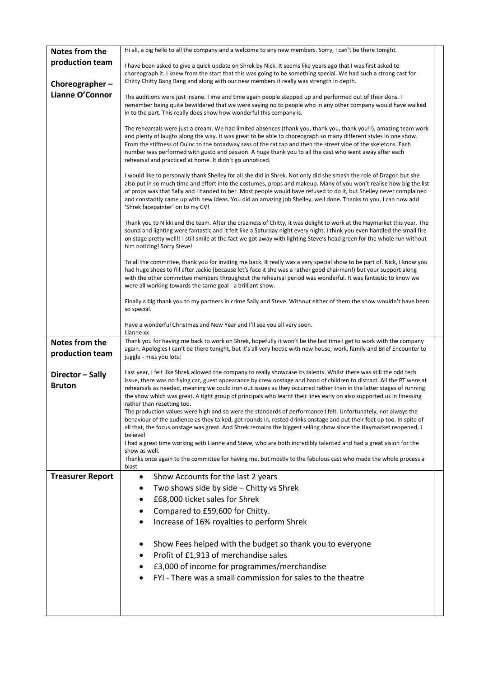| Notes from the                    | Hi all, a big hello to all the company and a welcome to any new members. Sorry, I can't be there tonight.                                                                                                                                                                                                                                                                                                                                                                                                                                                                                                                                                                                                                                                                                                                                                                                  |
|-----------------------------------|--------------------------------------------------------------------------------------------------------------------------------------------------------------------------------------------------------------------------------------------------------------------------------------------------------------------------------------------------------------------------------------------------------------------------------------------------------------------------------------------------------------------------------------------------------------------------------------------------------------------------------------------------------------------------------------------------------------------------------------------------------------------------------------------------------------------------------------------------------------------------------------------|
| production team                   | I have been asked to give a quick update on Shrek by Nick. It seems like years ago that I was first asked to<br>choreograph it. I knew from the start that this was going to be something special. We had such a strong cast for                                                                                                                                                                                                                                                                                                                                                                                                                                                                                                                                                                                                                                                           |
| Choreographer-                    | Chitty Chitty Bang Bang and along with our new members it really was strength in depth.                                                                                                                                                                                                                                                                                                                                                                                                                                                                                                                                                                                                                                                                                                                                                                                                    |
| Lianne O'Connor                   | The auditions were just insane. Time and time again people stepped up and performed out of their skins. I<br>remember being quite bewildered that we were saying no to people who in any other company would have walked<br>in to the part. This really does show how wonderful this company is.                                                                                                                                                                                                                                                                                                                                                                                                                                                                                                                                                                                           |
|                                   | The rehearsals were just a dream. We had limited absences (thank you, thank you, thank you!!), amazing team work<br>and plenty of laughs along the way. It was great to be able to choreograph so many different styles in one show.<br>From the stiffness of Duloc to the broadway sass of the rat tap and then the street vibe of the skeletons. Each<br>number was performed with gusto and passion. A huge thank you to all the cast who went away after each<br>rehearsal and practiced at home. It didn't go unnoticed.                                                                                                                                                                                                                                                                                                                                                              |
|                                   | I would like to personally thank Shelley for all she did in Shrek. Not only did she smash the role of Dragon but she<br>also put in so much time and effort into the costumes, props and makeup. Many of you won't realise how big the list<br>of props was that Sally and I handed to her. Most people would have refused to do it, but Shelley never complained<br>and constantly came up with new ideas. You did an amazing job Shelley, well done. Thanks to you, I can now add<br>'Shrek facepainter' on to my CV!                                                                                                                                                                                                                                                                                                                                                                    |
|                                   | Thank you to Nikki and the team. After the craziness of Chitty, it was delight to work at the Haymarket this year. The<br>sound and lighting were fantastic and it felt like a Saturday night every night. I think you even handled the small fire<br>on stage pretty well!! I still smile at the fact we got away with lighting Steve's head green for the whole run without<br>him noticing! Sorry Steve!                                                                                                                                                                                                                                                                                                                                                                                                                                                                                |
|                                   | To all the committee, thank you for inviting me back. It really was a very special show to be part of. Nick, I know you<br>had huge shoes to fill after Jackie (because let's face it she was a rather good chairman!) but your support along<br>with the other committee members throughout the rehearsal period was wonderful. It was fantastic to know we<br>were all working towards the same goal - a brilliant show.                                                                                                                                                                                                                                                                                                                                                                                                                                                                 |
|                                   | Finally a big thank you to my partners in crime Sally and Steve. Without either of them the show wouldn't have been<br>so special.                                                                                                                                                                                                                                                                                                                                                                                                                                                                                                                                                                                                                                                                                                                                                         |
|                                   | Have a wonderful Christmas and New Year and I'll see you all very soon.<br>Lianne xx                                                                                                                                                                                                                                                                                                                                                                                                                                                                                                                                                                                                                                                                                                                                                                                                       |
| Notes from the<br>production team | Thank you for having me back to work on Shrek, hopefully it won't be the last time I get to work with the company<br>again. Apologies I can't be there tonight, but it's all very hectic with new house, work, family and Brief Encounter to<br>juggle - miss you lots!                                                                                                                                                                                                                                                                                                                                                                                                                                                                                                                                                                                                                    |
| Director - Sally<br><b>Bruton</b> | Last year, I felt like Shrek allowed the company to really showcase its talents. Whilst there was still the odd tech<br>issue, there was no flying car, guest appearance by crew onstage and band of children to distract. All the PT were at<br>rehearsals as needed, meaning we could iron out issues as they occurred rather than in the latter stages of running<br>the show which was great. A tight group of principals who learnt their lines early on also supported us in finessing<br>rather than resetting too.<br>The production values were high and so were the standards of performance I felt. Unfortunately, not always the<br>behaviour of the audience as they talked, got rounds in, rested drinks onstage and put their feet up too. In spite of<br>all that, the focus onstage was great. And Shrek remains the biggest selling show since the Haymarket reopened, I |
|                                   | believe!<br>I had a great time working with Lianne and Steve, who are both incredibly talented and had a great vision for the<br>show as well.                                                                                                                                                                                                                                                                                                                                                                                                                                                                                                                                                                                                                                                                                                                                             |
|                                   | Thanks once again to the committee for having me, but mostly to the fabulous cast who made the whole process a<br>blast                                                                                                                                                                                                                                                                                                                                                                                                                                                                                                                                                                                                                                                                                                                                                                    |
| <b>Treasurer Report</b>           | Show Accounts for the last 2 years<br>$\bullet$                                                                                                                                                                                                                                                                                                                                                                                                                                                                                                                                                                                                                                                                                                                                                                                                                                            |
|                                   | Two shows side by side - Chitty vs Shrek                                                                                                                                                                                                                                                                                                                                                                                                                                                                                                                                                                                                                                                                                                                                                                                                                                                   |
|                                   | £68,000 ticket sales for Shrek<br>$\bullet$                                                                                                                                                                                                                                                                                                                                                                                                                                                                                                                                                                                                                                                                                                                                                                                                                                                |
|                                   | Compared to £59,600 for Chitty.                                                                                                                                                                                                                                                                                                                                                                                                                                                                                                                                                                                                                                                                                                                                                                                                                                                            |
|                                   | Increase of 16% royalties to perform Shrek                                                                                                                                                                                                                                                                                                                                                                                                                                                                                                                                                                                                                                                                                                                                                                                                                                                 |
|                                   | Show Fees helped with the budget so thank you to everyone                                                                                                                                                                                                                                                                                                                                                                                                                                                                                                                                                                                                                                                                                                                                                                                                                                  |
|                                   | Profit of £1,913 of merchandise sales<br>$\bullet$                                                                                                                                                                                                                                                                                                                                                                                                                                                                                                                                                                                                                                                                                                                                                                                                                                         |
|                                   | £3,000 of income for programmes/merchandise                                                                                                                                                                                                                                                                                                                                                                                                                                                                                                                                                                                                                                                                                                                                                                                                                                                |
|                                   | FYI - There was a small commission for sales to the theatre                                                                                                                                                                                                                                                                                                                                                                                                                                                                                                                                                                                                                                                                                                                                                                                                                                |
|                                   |                                                                                                                                                                                                                                                                                                                                                                                                                                                                                                                                                                                                                                                                                                                                                                                                                                                                                            |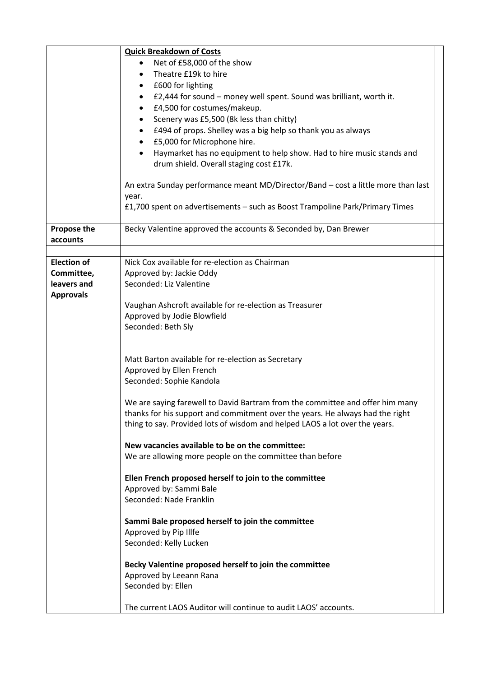|                    | <b>Quick Breakdown of Costs</b>                                                   |
|--------------------|-----------------------------------------------------------------------------------|
|                    | Net of £58,000 of the show                                                        |
|                    | Theatre £19k to hire                                                              |
|                    | £600 for lighting<br>$\bullet$                                                    |
|                    | £2,444 for sound – money well spent. Sound was brilliant, worth it.<br>$\bullet$  |
|                    | £4,500 for costumes/makeup.                                                       |
|                    |                                                                                   |
|                    | Scenery was £5,500 (8k less than chitty)                                          |
|                    | £494 of props. Shelley was a big help so thank you as always                      |
|                    | £5,000 for Microphone hire.                                                       |
|                    | Haymarket has no equipment to help show. Had to hire music stands and             |
|                    | drum shield. Overall staging cost £17k.                                           |
|                    | An extra Sunday performance meant MD/Director/Band - cost a little more than last |
|                    | year.                                                                             |
|                    | £1,700 spent on advertisements - such as Boost Trampoline Park/Primary Times      |
|                    |                                                                                   |
| Propose the        | Becky Valentine approved the accounts & Seconded by, Dan Brewer                   |
| accounts           |                                                                                   |
|                    |                                                                                   |
| <b>Election of</b> | Nick Cox available for re-election as Chairman                                    |
| Committee,         | Approved by: Jackie Oddy                                                          |
| leavers and        | Seconded: Liz Valentine                                                           |
| <b>Approvals</b>   |                                                                                   |
|                    | Vaughan Ashcroft available for re-election as Treasurer                           |
|                    | Approved by Jodie Blowfield                                                       |
|                    | Seconded: Beth Sly                                                                |
|                    |                                                                                   |
|                    |                                                                                   |
|                    | Matt Barton available for re-election as Secretary                                |
|                    | Approved by Ellen French                                                          |
|                    | Seconded: Sophie Kandola                                                          |
|                    |                                                                                   |
|                    | We are saying farewell to David Bartram from the committee and offer him many     |
|                    | thanks for his support and commitment over the years. He always had the right     |
|                    | thing to say. Provided lots of wisdom and helped LAOS a lot over the years.       |
|                    | New vacancies available to be on the committee:                                   |
|                    | We are allowing more people on the committee than before                          |
|                    |                                                                                   |
|                    | Ellen French proposed herself to join to the committee                            |
|                    | Approved by: Sammi Bale                                                           |
|                    | Seconded: Nade Franklin                                                           |
|                    |                                                                                   |
|                    | Sammi Bale proposed herself to join the committee                                 |
|                    | Approved by Pip Illfe                                                             |
|                    | Seconded: Kelly Lucken                                                            |
|                    | Becky Valentine proposed herself to join the committee                            |
|                    |                                                                                   |
|                    | Approved by Leeann Rana                                                           |
|                    | Seconded by: Ellen                                                                |
|                    | The current LAOS Auditor will continue to audit LAOS' accounts.                   |
|                    |                                                                                   |